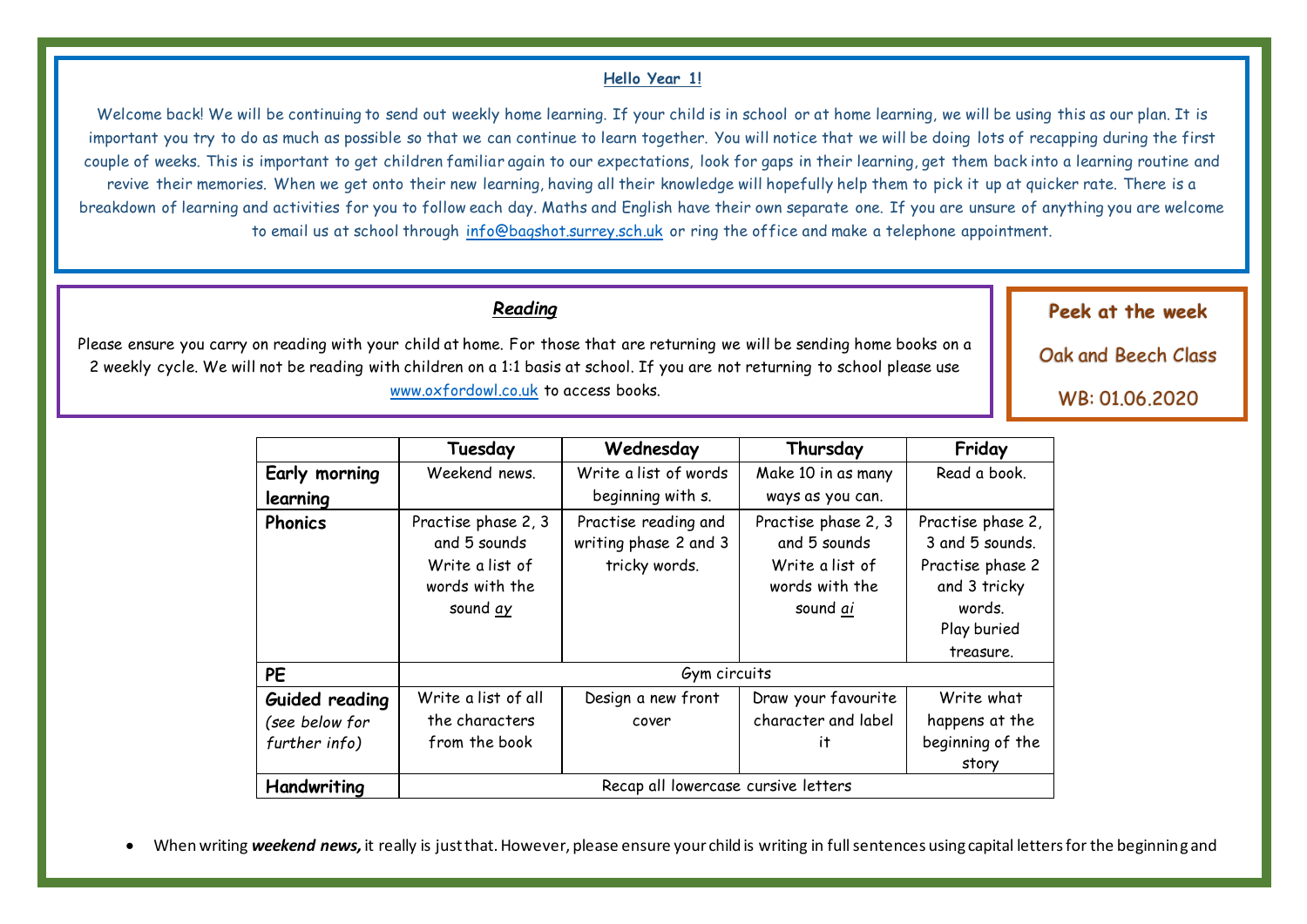#### **Hello Year 1!**

Welcome back! We will be continuing to send out weekly home learning. If your child is in school or at home learning, we will be using this as our plan. It is important you try to do as much as possible so that we can continue to learn together. You will notice that we will be doing lots of recapping during the first couple of weeks. This is important to get children familiar again to our expectations, look for gaps in their learning, get them back into a learning routine and revive their memories. When we get onto their new learning, having all their knowledge will hopefully help them to pick it up at quicker rate. There is a breakdown of learning and activities for you to follow each day. Maths and English have their own separate one. If you are unsure of anything you are welcome to email us at school through [info@bagshot.surrey.sch.uk](mailto:info@bagshot.surrey.sch.uk) or ring the office and make a telephone appointment.

#### *Reading*

Please ensure you carry on reading with your child at home. For those that are returning we will be sending home books on a 2 weekly cycle. We will not be reading with children on a 1:1 basis at school. If you are not returning to school please use [www.oxfordowl.co.uk](http://www.oxfordowl.co.uk/) to access books.

> **Tuesday Wednesday Thursday Friday Early morning learning**  Weekend news. Write a list of words beginning with s. Make 10 in as many ways as you can. Read a book. **Phonics** Practise phase 2, 3 and 5 sounds Write a list of words with the sound *ay* Practise reading and writing phase 2 and 3 tricky words. Practise phase 2, 3 and 5 sounds Write a list of words with the sound *ai* Practise phase 2, 3 and 5 sounds. Practise phase 2 and 3 tricky words. Play buried treasure. **PE** Gym circuits **Guided reading** *(see below for further info)* Write a list of all the characters from the book Design a new front cover Draw your favourite character and label it Write what happens at the beginning of the story Handwriting | Recap all lowercase cursive letters

When writing **weekend news,** it really is just that. However, please ensure your child is writing in full sentences using capital letters for the beginning and

days of the week, finger spaces and full stops. In school they are expected to draw a picture too and display the date at the top of the page.

**Peek at the week**

Oak and Beech Class

WB: 01.06.2020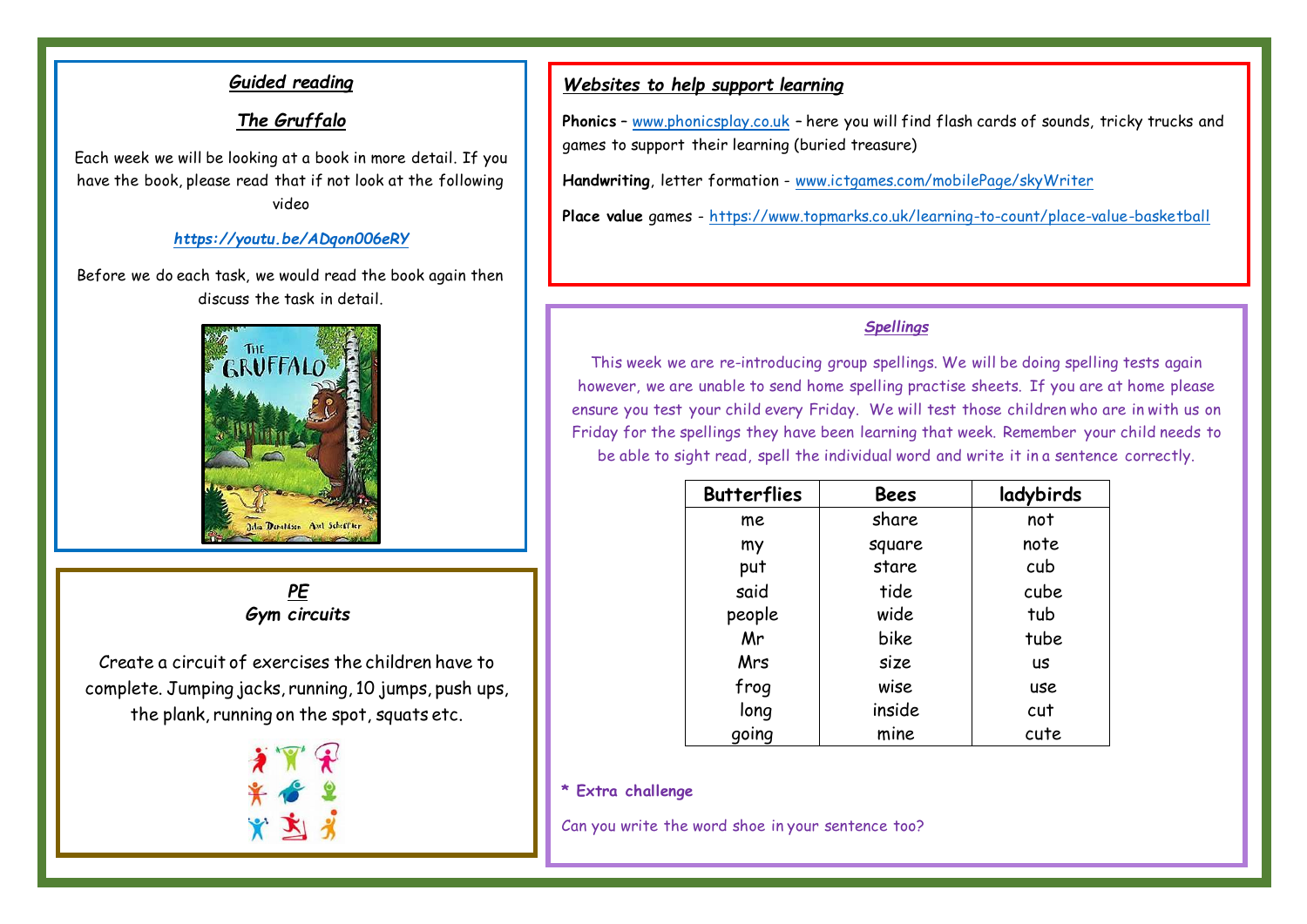## *Guided reading*

### *The Gruffalo*

Each week we will be looking at a book in more detail. If you have the book, please read that if not look at the following video

#### *<https://youtu.be/ADqon006eRY>*

Before we do each task, we would read the book again then discuss the task in detail.



*PE Gym circuits*

Create a circuit of exercises the children have to complete. Jumping jacks, running, 10 jumps, push ups, the plank, running on the spot, squats etc.



#### *Websites to help support learning*

**Phonics** – [www.phonicsplay.co.uk](http://www.phonicsplay.co.uk/) – here you will find flash cards of sounds, tricky trucks and games to support their learning (buried treasure)

**Handwriting**, letter formation - [www.ictgames.com/mobilePage/skyWriter](http://www.ictgames.com/mobilePage/skyWriter)

**Place value** games - <https://www.topmarks.co.uk/learning-to-count/place-value-basketball>

#### *Spellings*

This week we are re-introducing group spellings. We will be doing spelling tests again however, we are unable to send home spelling practise sheets. If you are at home please ensure you test your child every Friday. We will test those children who are in with us on Friday for the spellings they have been learning that week. Remember your child needs to be able to sight read, spell the individual word and write it in a sentence correctly.

| <b>Butterflies</b> | <b>Bees</b> | ladybirds |
|--------------------|-------------|-----------|
| me                 | share       | not       |
| my                 | square      | note      |
| put                | stare       | cub       |
| said               | tide        | cube      |
| people             | wide        | tub       |
| Mr                 | bike        | tube      |
| Mrs                | size        | us        |
| frog               | wise        | use       |
| long               | inside      | cut       |
| qoing              | mine        | cute      |

#### **\* Extra challenge**

Can you write the word shoe in your sentence too?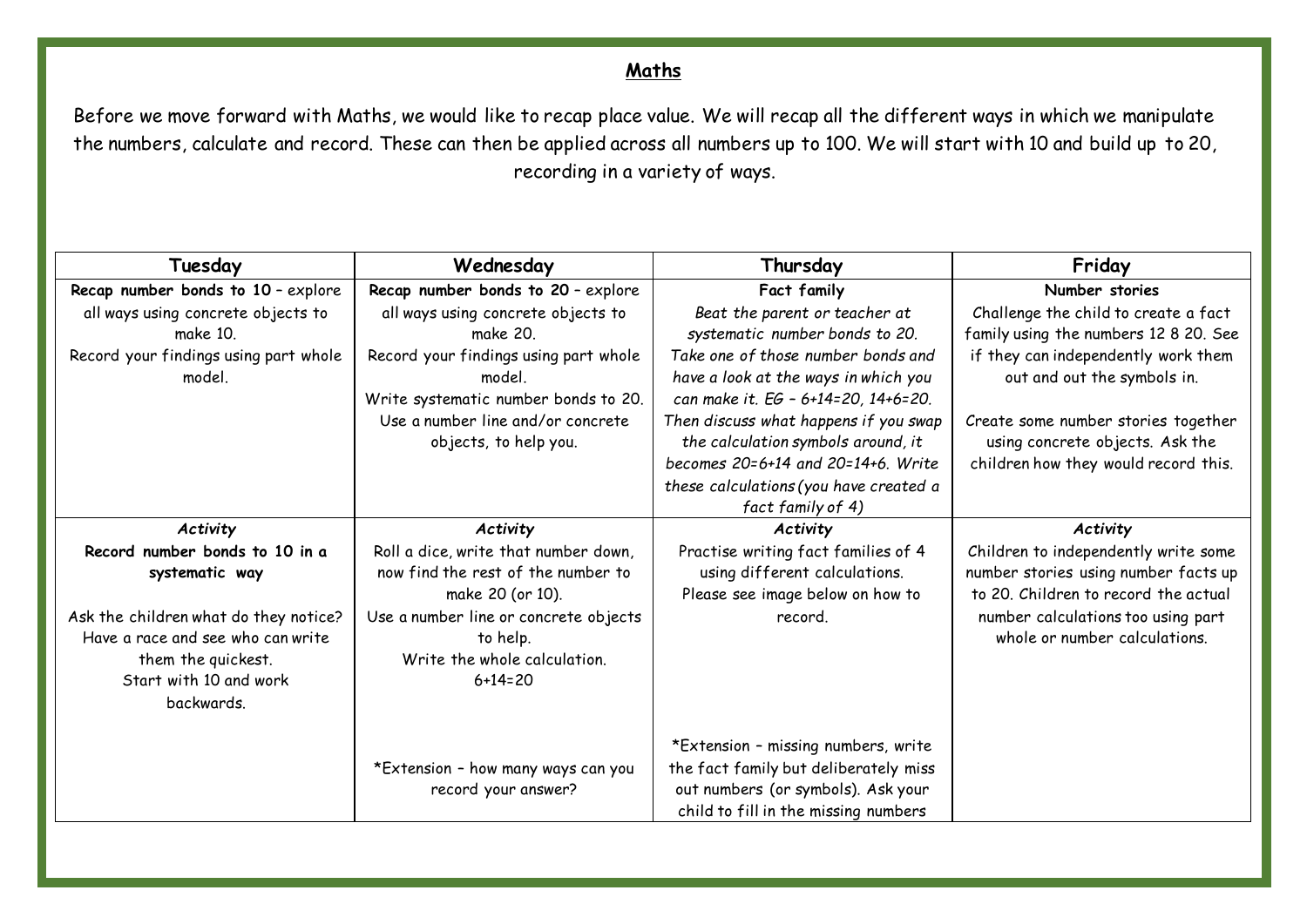## **Maths**

Before we move forward with Maths, we would like to recap place value. We will recap all the different ways in which we manipulate the numbers, calculate and record. These can then be applied across all numbers up to 100. We will start with 10 and build up to 20, recording in a variety of ways.

| Tuesday                               | Wednesday                             | Thursday                               | Friday                                |
|---------------------------------------|---------------------------------------|----------------------------------------|---------------------------------------|
| Recap number bonds to 10 - explore    | Recap number bonds to 20 - explore    | Fact family                            | Number stories                        |
| all ways using concrete objects to    | all ways using concrete objects to    | Beat the parent or teacher at          | Challenge the child to create a fact  |
| make 10.                              | make 20.                              | systematic number bonds to 20.         | family using the numbers 12 8 20. See |
| Record your findings using part whole | Record your findings using part whole | Take one of those number bonds and     | if they can independently work them   |
| model.                                | model.                                | have a look at the ways in which you   | out and out the symbols in.           |
|                                       | Write systematic number bonds to 20.  | can make it. EG - 6+14=20, 14+6=20.    |                                       |
|                                       | Use a number line and/or concrete     | Then discuss what happens if you swap  | Create some number stories together   |
|                                       | objects, to help you.                 | the calculation symbols around, it     | using concrete objects. Ask the       |
|                                       |                                       | becomes 20=6+14 and 20=14+6. Write     | children how they would record this.  |
|                                       |                                       | these calculations (you have created a |                                       |
|                                       |                                       | fact family of 4)                      |                                       |
| Activity                              | Activity                              | Activity                               | Activity                              |
| Record number bonds to 10 in a        | Roll a dice, write that number down,  | Practise writing fact families of 4    | Children to independently write some  |
| systematic way                        | now find the rest of the number to    | using different calculations.          | number stories using number facts up  |
|                                       | make 20 (or 10).                      | Please see image below on how to       | to 20. Children to record the actual  |
| Ask the children what do they notice? | Use a number line or concrete objects | record.                                | number calculations too using part    |
| Have a race and see who can write     | to help.                              |                                        | whole or number calculations.         |
| them the quickest.                    | Write the whole calculation.          |                                        |                                       |
| Start with 10 and work                | $6 + 14 = 20$                         |                                        |                                       |
| backwards.                            |                                       |                                        |                                       |
|                                       |                                       |                                        |                                       |
|                                       |                                       | *Extension - missing numbers, write    |                                       |
|                                       | *Extension - how many ways can you    | the fact family but deliberately miss  |                                       |
|                                       | record your answer?                   | out numbers (or symbols). Ask your     |                                       |
|                                       |                                       | child to fill in the missing numbers   |                                       |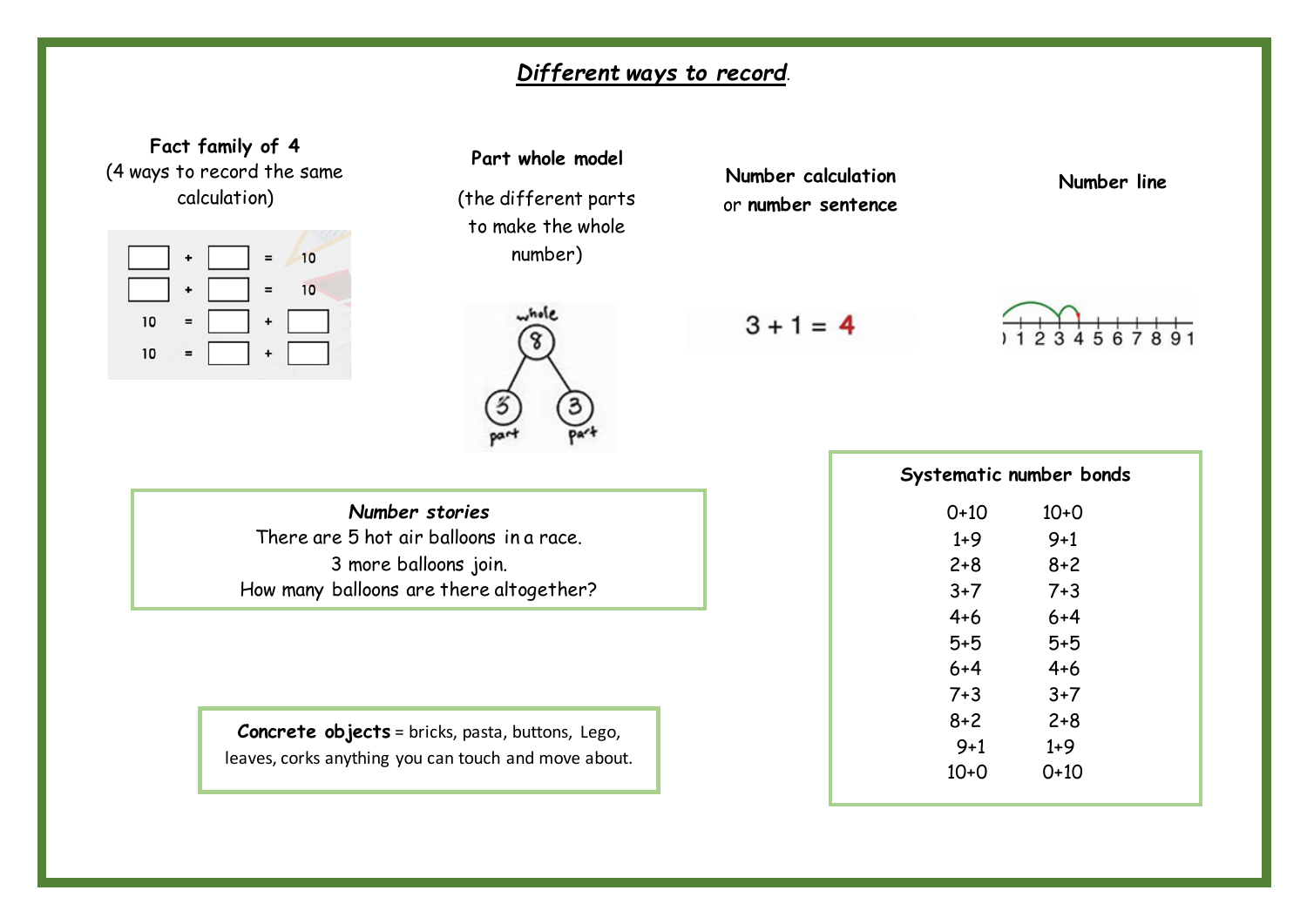# *Different ways to record*.



(the different parts to make the whole number)

**Part whole model**



**Number calculation** or **number sentence**

**Number line**

 $3 + 1 = 4$ 



*Number stories* There are 5 hot air balloons in a race. 3 more balloons join. How many balloons are there altogether?

**Concrete objects** = bricks, pasta, buttons, Lego, leaves, corks anything you can touch and move about.

| Systematic number bonds |         |  |  |  |  |  |
|-------------------------|---------|--|--|--|--|--|
| 0+10                    | $10+0$  |  |  |  |  |  |
| $1+9$                   | $9 + 1$ |  |  |  |  |  |
| $2 + 8$                 | $8 + 2$ |  |  |  |  |  |
| $3+7$                   | $7 + 3$ |  |  |  |  |  |
| $4 + 6$                 | $6 + 4$ |  |  |  |  |  |
| $5 + 5$                 | 5+5     |  |  |  |  |  |
| $6 + 4$                 | $4 + 6$ |  |  |  |  |  |
| $7 + 3$                 | $3+7$   |  |  |  |  |  |
| 8+2                     | $2 + 8$ |  |  |  |  |  |
| $9 + 1$                 | 1+9     |  |  |  |  |  |
| $10+0$                  | 0+10    |  |  |  |  |  |